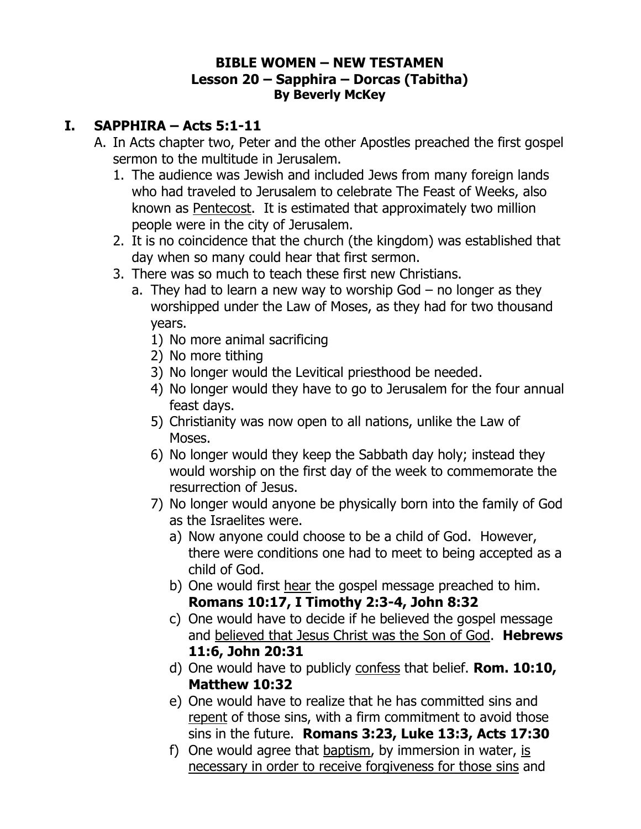## **BIBLE WOMEN – NEW TESTAMEN Lesson 20 – Sapphira – Dorcas (Tabitha) By Beverly McKey**

## **I. SAPPHIRA – Acts 5:1-11**

- A. In Acts chapter two, Peter and the other Apostles preached the first gospel sermon to the multitude in Jerusalem.
	- 1. The audience was Jewish and included Jews from many foreign lands who had traveled to Jerusalem to celebrate The Feast of Weeks, also known as Pentecost. It is estimated that approximately two million people were in the city of Jerusalem.
	- 2. It is no coincidence that the church (the kingdom) was established that day when so many could hear that first sermon.
	- 3. There was so much to teach these first new Christians.
		- a. They had to learn a new way to worship God no longer as they worshipped under the Law of Moses, as they had for two thousand years.
			- 1) No more animal sacrificing
			- 2) No more tithing
			- 3) No longer would the Levitical priesthood be needed.
			- 4) No longer would they have to go to Jerusalem for the four annual feast days.
			- 5) Christianity was now open to all nations, unlike the Law of Moses.
			- 6) No longer would they keep the Sabbath day holy; instead they would worship on the first day of the week to commemorate the resurrection of Jesus.
			- 7) No longer would anyone be physically born into the family of God as the Israelites were.
				- a) Now anyone could choose to be a child of God. However, there were conditions one had to meet to being accepted as a child of God.
				- b) One would first hear the gospel message preached to him. **Romans 10:17, I Timothy 2:3-4, John 8:32**
				- c) One would have to decide if he believed the gospel message and believed that Jesus Christ was the Son of God. **Hebrews 11:6, John 20:31**
				- d) One would have to publicly confess that belief. **Rom. 10:10, Matthew 10:32**
				- e) One would have to realize that he has committed sins and repent of those sins, with a firm commitment to avoid those sins in the future. **Romans 3:23, Luke 13:3, Acts 17:30**
				- f) One would agree that baptism, by immersion in water, is necessary in order to receive forgiveness for those sins and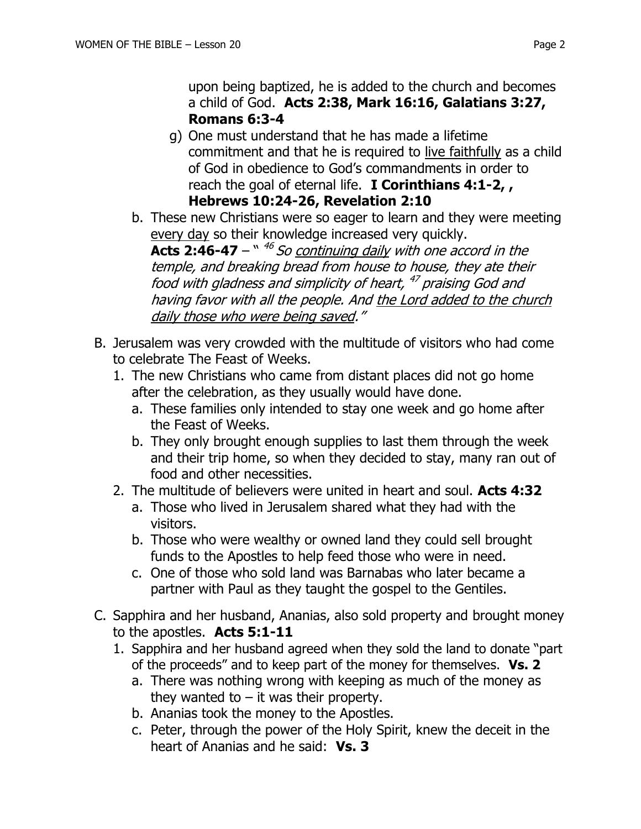upon being baptized, he is added to the church and becomes a child of God. **Acts 2:38, Mark 16:16, Galatians 3:27, Romans 6:3-4**

- g) One must understand that he has made a lifetime commitment and that he is required to live faithfully as a child of God in obedience to God's commandments in order to reach the goal of eternal life. **I Corinthians 4:1-2, , Hebrews 10:24-26, Revelation 2:10**
- b. These new Christians were so eager to learn and they were meeting every day so their knowledge increased very quickly.

**Acts 2:46-47** –  $``$  <sup>46</sup> So continuing daily with one accord in the temple, and breaking bread from house to house, they ate their food with gladness and simplicity of heart, <sup>47</sup> praising God and having favor with all the people. And the Lord added to the church daily those who were being saved."

- B. Jerusalem was very crowded with the multitude of visitors who had come to celebrate The Feast of Weeks.
	- 1. The new Christians who came from distant places did not go home after the celebration, as they usually would have done.
		- a. These families only intended to stay one week and go home after the Feast of Weeks.
		- b. They only brought enough supplies to last them through the week and their trip home, so when they decided to stay, many ran out of food and other necessities.
	- 2. The multitude of believers were united in heart and soul. **Acts 4:32**
		- a. Those who lived in Jerusalem shared what they had with the visitors.
		- b. Those who were wealthy or owned land they could sell brought funds to the Apostles to help feed those who were in need.
		- c. One of those who sold land was Barnabas who later became a partner with Paul as they taught the gospel to the Gentiles.
- C. Sapphira and her husband, Ananias, also sold property and brought money to the apostles. **Acts 5:1-11**
	- 1. Sapphira and her husband agreed when they sold the land to donate "part of the proceeds" and to keep part of the money for themselves. **Vs. 2**
		- a. There was nothing wrong with keeping as much of the money as they wanted to  $-$  it was their property.
		- b. Ananias took the money to the Apostles.
		- c. Peter, through the power of the Holy Spirit, knew the deceit in the heart of Ananias and he said: **Vs. 3**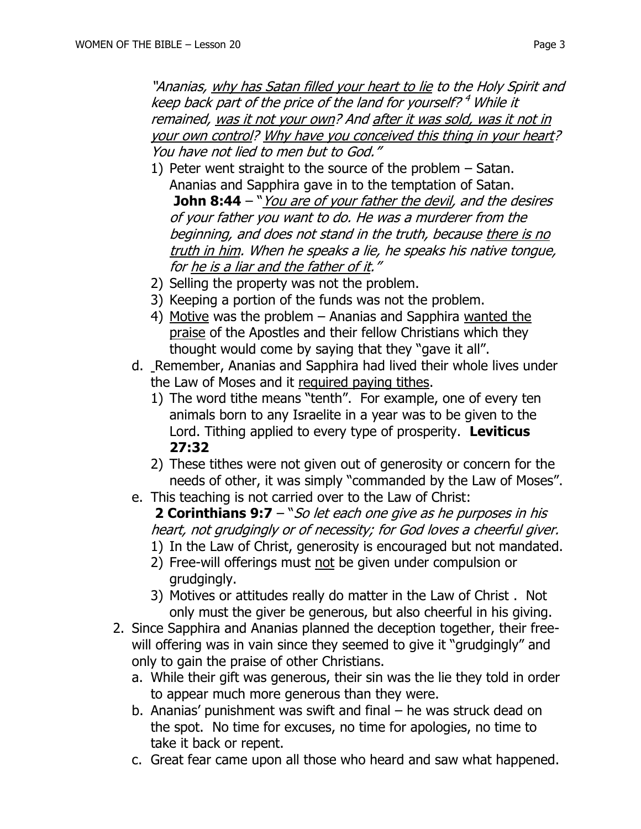"Ananias, why has Satan filled your heart to lie to the Holy Spirit and keep back part of the price of the land for yourself? <sup>4</sup> While it remained, was it not your own? And after it was sold, was it not in your own control? Why have you conceived this thing in your heart? You have not lied to men but to God."

- 1) Peter went straight to the source of the problem Satan. Ananias and Sapphira gave in to the temptation of Satan. **John 8:44** – "You are of your father the devil, and the desires of your father you want to do. He was a murderer from the beginning, and does not stand in the truth, because there is no truth in him. When he speaks a lie, he speaks his native tongue, for he is a liar and the father of it."
- 2) Selling the property was not the problem.
- 3) Keeping a portion of the funds was not the problem.
- 4) Motive was the problem Ananias and Sapphira wanted the praise of the Apostles and their fellow Christians which they thought would come by saying that they "gave it all".
- d. Remember, Ananias and Sapphira had lived their whole lives under the Law of Moses and it required paying tithes.
	- 1) The word tithe means "tenth". For example, one of every ten animals born to any Israelite in a year was to be given to the Lord. Tithing applied to every type of prosperity. **Leviticus 27:32**
	- 2) These tithes were not given out of generosity or concern for the needs of other, it was simply "commanded by the Law of Moses".
- e. This teaching is not carried over to the Law of Christ:
	- **2 Corinthians 9:7** "So let each one give as he purposes in his heart, not grudgingly or of necessity; for God loves a cheerful giver.
	- 1) In the Law of Christ, generosity is encouraged but not mandated.
	- 2) Free-will offerings must not be given under compulsion or grudgingly.
	- 3) Motives or attitudes really do matter in the Law of Christ . Not only must the giver be generous, but also cheerful in his giving.
- 2. Since Sapphira and Ananias planned the deception together, their freewill offering was in vain since they seemed to give it "grudgingly" and only to gain the praise of other Christians.
	- a. While their gift was generous, their sin was the lie they told in order to appear much more generous than they were.
	- b. Ananias' punishment was swift and final he was struck dead on the spot. No time for excuses, no time for apologies, no time to take it back or repent.
	- c. Great fear came upon all those who heard and saw what happened.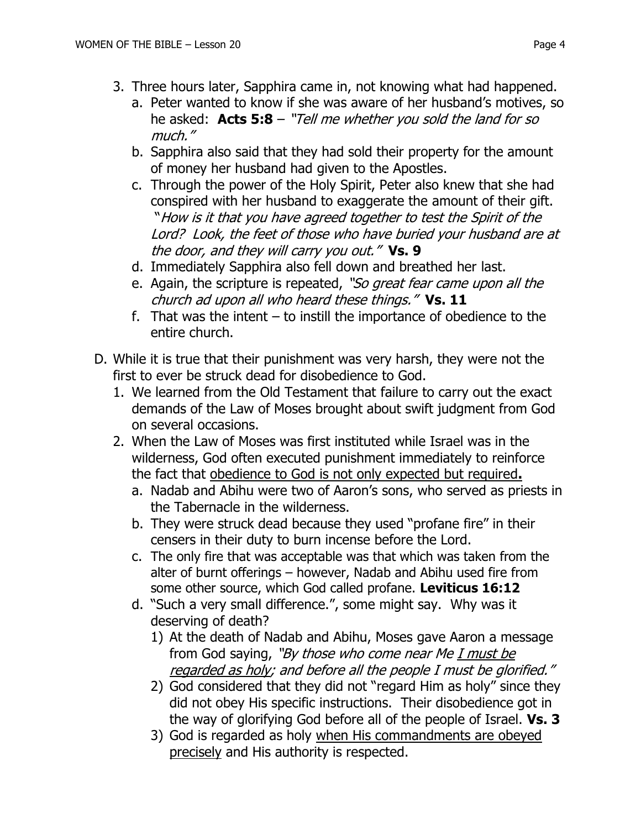- 3. Three hours later, Sapphira came in, not knowing what had happened.
	- a. Peter wanted to know if she was aware of her husband's motives, so he asked: **Acts 5:8** – "Tell me whether you sold the land for so much."
	- b. Sapphira also said that they had sold their property for the amount of money her husband had given to the Apostles.
	- c. Through the power of the Holy Spirit, Peter also knew that she had conspired with her husband to exaggerate the amount of their gift. "How is it that you have agreed together to test the Spirit of the Lord? Look, the feet of those who have buried your husband are at the door, and they will carry you out." **Vs. 9**
	- d. Immediately Sapphira also fell down and breathed her last.
	- e. Again, the scripture is repeated, "So great fear came upon all the church ad upon all who heard these things." **Vs. 11**
	- f. That was the intent  $-$  to instill the importance of obedience to the entire church.
- D. While it is true that their punishment was very harsh, they were not the first to ever be struck dead for disobedience to God.
	- 1. We learned from the Old Testament that failure to carry out the exact demands of the Law of Moses brought about swift judgment from God on several occasions.
	- 2. When the Law of Moses was first instituted while Israel was in the wilderness, God often executed punishment immediately to reinforce the fact that obedience to God is not only expected but required**.**
		- a. Nadab and Abihu were two of Aaron's sons, who served as priests in the Tabernacle in the wilderness.
		- b. They were struck dead because they used "profane fire" in their censers in their duty to burn incense before the Lord.
		- c. The only fire that was acceptable was that which was taken from the alter of burnt offerings – however, Nadab and Abihu used fire from some other source, which God called profane. **Leviticus 16:12**
		- d. "Such a very small difference.", some might say. Why was it deserving of death?
			- 1) At the death of Nadab and Abihu, Moses gave Aaron a message from God saying, "By those who come near Me I must be regarded as holy; and before all the people I must be glorified."
			- 2) God considered that they did not "regard Him as holy" since they did not obey His specific instructions. Their disobedience got in the way of glorifying God before all of the people of Israel. **Vs. 3**
			- 3) God is regarded as holy when His commandments are obeyed precisely and His authority is respected.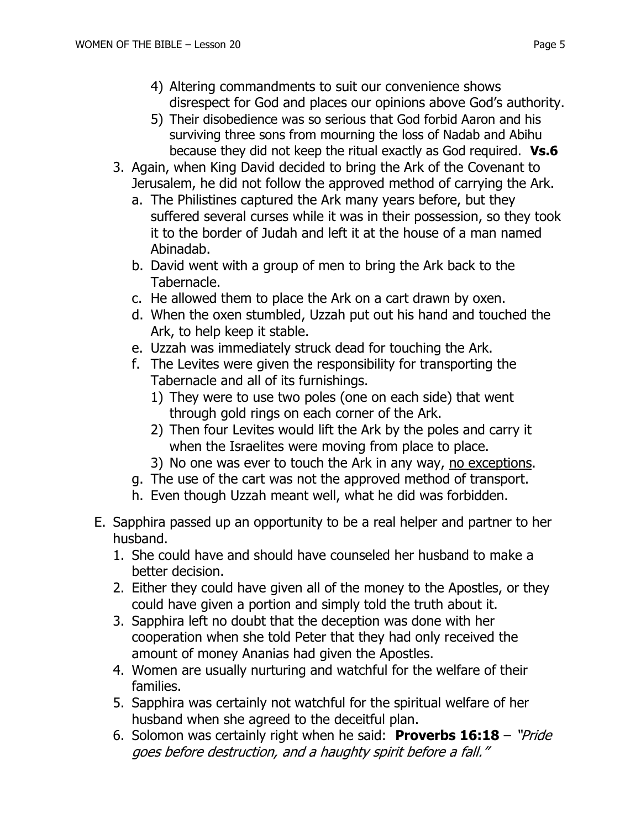- 4) Altering commandments to suit our convenience shows disrespect for God and places our opinions above God's authority.
- 5) Their disobedience was so serious that God forbid Aaron and his surviving three sons from mourning the loss of Nadab and Abihu because they did not keep the ritual exactly as God required. **Vs.6**
- 3. Again, when King David decided to bring the Ark of the Covenant to Jerusalem, he did not follow the approved method of carrying the Ark.
	- a. The Philistines captured the Ark many years before, but they suffered several curses while it was in their possession, so they took it to the border of Judah and left it at the house of a man named Abinadab.
	- b. David went with a group of men to bring the Ark back to the Tabernacle.
	- c. He allowed them to place the Ark on a cart drawn by oxen.
	- d. When the oxen stumbled, Uzzah put out his hand and touched the Ark, to help keep it stable.
	- e. Uzzah was immediately struck dead for touching the Ark.
	- f. The Levites were given the responsibility for transporting the Tabernacle and all of its furnishings.
		- 1) They were to use two poles (one on each side) that went through gold rings on each corner of the Ark.
		- 2) Then four Levites would lift the Ark by the poles and carry it when the Israelites were moving from place to place.
		- 3) No one was ever to touch the Ark in any way, no exceptions.
	- g. The use of the cart was not the approved method of transport.
	- h. Even though Uzzah meant well, what he did was forbidden.
- E. Sapphira passed up an opportunity to be a real helper and partner to her husband.
	- 1. She could have and should have counseled her husband to make a better decision.
	- 2. Either they could have given all of the money to the Apostles, or they could have given a portion and simply told the truth about it.
	- 3. Sapphira left no doubt that the deception was done with her cooperation when she told Peter that they had only received the amount of money Ananias had given the Apostles.
	- 4. Women are usually nurturing and watchful for the welfare of their families.
	- 5. Sapphira was certainly not watchful for the spiritual welfare of her husband when she agreed to the deceitful plan.
	- 6. Solomon was certainly right when he said: **Proverbs 16:18** "Pride goes before destruction, and a haughty spirit before a fall."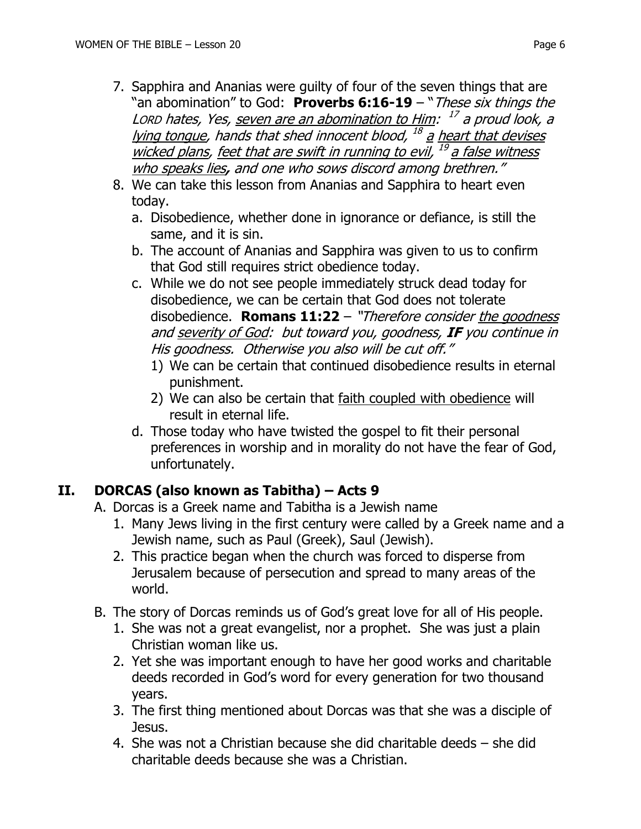- 7. Sapphira and Ananias were guilty of four of the seven things that are "an abomination" to God: **Proverbs 6:16-19** – "These six things the Lorp hates, Yes, <u>seven are an abomination to Him</u>: <sup>17</sup> a proud look, a lying tongue, hands that shed innocent blood, <sup>18</sup> <u>a heart that devises</u> wicked plans, feet that are swift in running to evil, <sup>19</sup> a false witness who speaks lies**,** and one who sows discord among brethren."
- 8. We can take this lesson from Ananias and Sapphira to heart even today.
	- a. Disobedience, whether done in ignorance or defiance, is still the same, and it is sin.
	- b. The account of Ananias and Sapphira was given to us to confirm that God still requires strict obedience today.
	- c. While we do not see people immediately struck dead today for disobedience, we can be certain that God does not tolerate disobedience. **Romans 11:22** – "Therefore consider the goodness and severity of God: but toward you, goodness, **IF** you continue in His goodness. Otherwise you also will be cut off."
		- 1) We can be certain that continued disobedience results in eternal punishment.
		- 2) We can also be certain that faith coupled with obedience will result in eternal life.
	- d. Those today who have twisted the gospel to fit their personal preferences in worship and in morality do not have the fear of God, unfortunately.

## **II. DORCAS (also known as Tabitha) – Acts 9**

- A. Dorcas is a Greek name and Tabitha is a Jewish name
	- 1. Many Jews living in the first century were called by a Greek name and a Jewish name, such as Paul (Greek), Saul (Jewish).
	- 2. This practice began when the church was forced to disperse from Jerusalem because of persecution and spread to many areas of the world.
- B. The story of Dorcas reminds us of God's great love for all of His people.
	- 1. She was not a great evangelist, nor a prophet. She was just a plain Christian woman like us.
	- 2. Yet she was important enough to have her good works and charitable deeds recorded in God's word for every generation for two thousand years.
	- 3. The first thing mentioned about Dorcas was that she was a disciple of Jesus.
	- 4. She was not a Christian because she did charitable deeds she did charitable deeds because she was a Christian.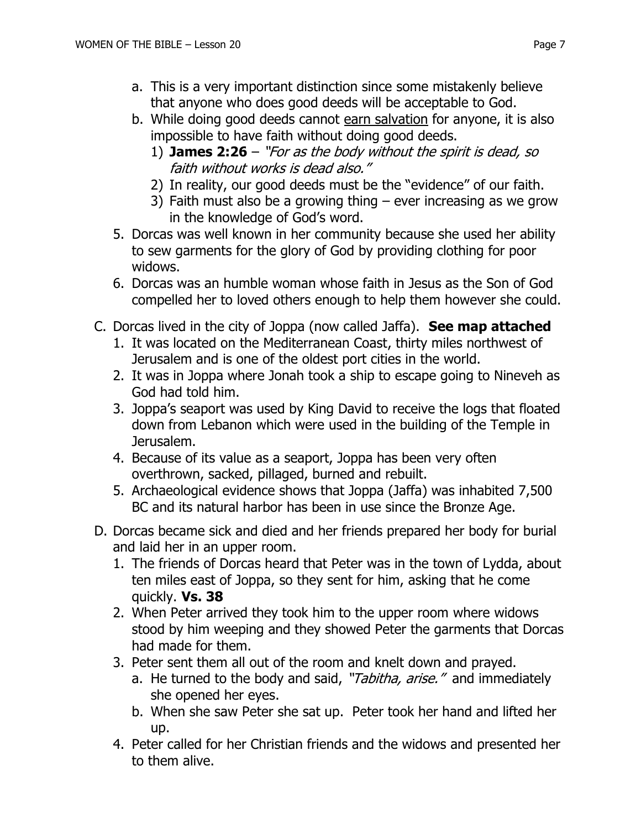- a. This is a very important distinction since some mistakenly believe that anyone who does good deeds will be acceptable to God.
- b. While doing good deeds cannot earn salvation for anyone, it is also impossible to have faith without doing good deeds.
	- 1) **James 2:26** "For as the body without the spirit is dead, so faith without works is dead also."
	- 2) In reality, our good deeds must be the "evidence" of our faith.
	- 3) Faith must also be a growing thing  $-$  ever increasing as we grow in the knowledge of God's word.
- 5. Dorcas was well known in her community because she used her ability to sew garments for the glory of God by providing clothing for poor widows.
- 6. Dorcas was an humble woman whose faith in Jesus as the Son of God compelled her to loved others enough to help them however she could.
- C. Dorcas lived in the city of Joppa (now called Jaffa). **See map attached**
	- 1. It was located on the Mediterranean Coast, thirty miles northwest of Jerusalem and is one of the oldest port cities in the world.
	- 2. It was in Joppa where Jonah took a ship to escape going to Nineveh as God had told him.
	- 3. Joppa's seaport was used by King David to receive the logs that floated down from Lebanon which were used in the building of the Temple in Jerusalem.
	- 4. Because of its value as a seaport, Joppa has been very often overthrown, sacked, pillaged, burned and rebuilt.
	- 5. Archaeological evidence shows that Joppa (Jaffa) was inhabited 7,500 BC and its natural harbor has been in use since the Bronze Age.
- D. Dorcas became sick and died and her friends prepared her body for burial and laid her in an upper room.
	- 1. The friends of Dorcas heard that Peter was in the town of Lydda, about ten miles east of Joppa, so they sent for him, asking that he come quickly. **Vs. 38**
	- 2. When Peter arrived they took him to the upper room where widows stood by him weeping and they showed Peter the garments that Dorcas had made for them.
	- 3. Peter sent them all out of the room and knelt down and prayed.
		- a. He turned to the body and said, "Tabitha, arise." and immediately she opened her eyes.
		- b. When she saw Peter she sat up. Peter took her hand and lifted her up.
	- 4. Peter called for her Christian friends and the widows and presented her to them alive.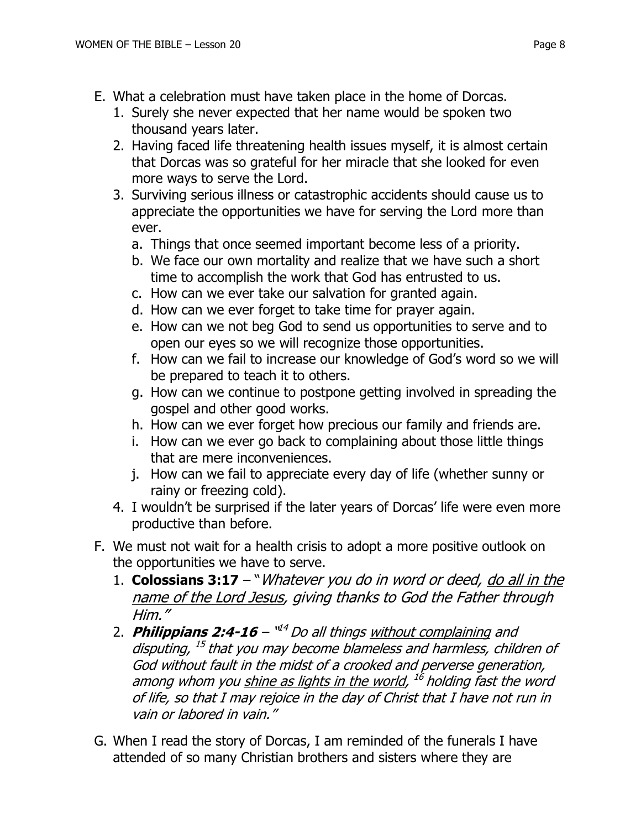- E. What a celebration must have taken place in the home of Dorcas.
	- 1. Surely she never expected that her name would be spoken two thousand years later.
	- 2. Having faced life threatening health issues myself, it is almost certain that Dorcas was so grateful for her miracle that she looked for even more ways to serve the Lord.
	- 3. Surviving serious illness or catastrophic accidents should cause us to appreciate the opportunities we have for serving the Lord more than ever.
		- a. Things that once seemed important become less of a priority.
		- b. We face our own mortality and realize that we have such a short time to accomplish the work that God has entrusted to us.
		- c. How can we ever take our salvation for granted again.
		- d. How can we ever forget to take time for prayer again.
		- e. How can we not beg God to send us opportunities to serve and to open our eyes so we will recognize those opportunities.
		- f. How can we fail to increase our knowledge of God's word so we will be prepared to teach it to others.
		- g. How can we continue to postpone getting involved in spreading the gospel and other good works.
		- h. How can we ever forget how precious our family and friends are.
		- i. How can we ever go back to complaining about those little things that are mere inconveniences.
		- j. How can we fail to appreciate every day of life (whether sunny or rainy or freezing cold).
	- 4. I wouldn't be surprised if the later years of Dorcas' life were even more productive than before.
- F. We must not wait for a health crisis to adopt a more positive outlook on the opportunities we have to serve.
	- 1. **Colossians 3:17** "Whatever you do in word or deed, do all in the name of the Lord Jesus, giving thanks to God the Father through Him."
	- 2. Philippians 2:4-16 '<sup>id4</sup> Do all things <u>without complaining</u> and disputing, <sup>15</sup> that you may become blameless and harmless, children of God without fault in the midst of a crooked and perverse generation, among whom you <u>shine as lights in the world</u>, <sup>16</sup> holding fast the word of life, so that I may rejoice in the day of Christ that I have not run in vain or labored in vain."
- G. When I read the story of Dorcas, I am reminded of the funerals I have attended of so many Christian brothers and sisters where they are